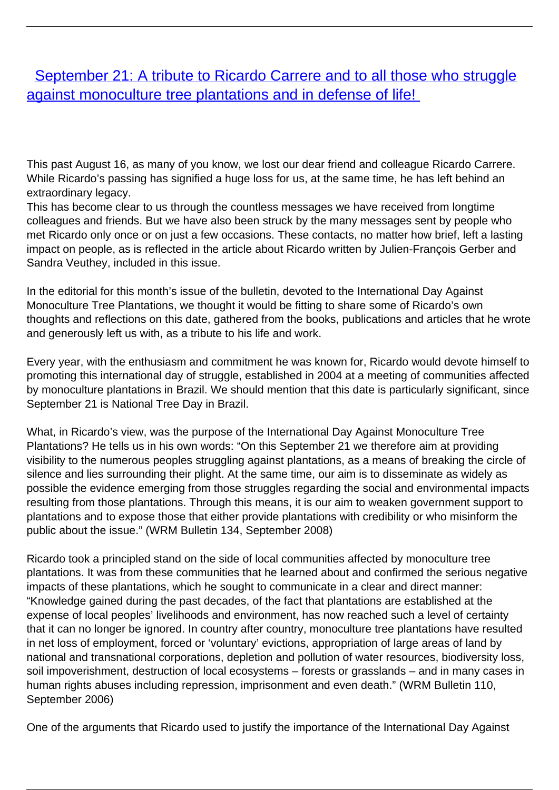## **[September 21: A tribute to Ricardo Carrere and to all those who struggle](/bulletin-articles/september-21-a-tribute-to-ricardo-carrere-and-to-all-those-who-struggle-against-monoculture-tree)** [against monoculture tree plantations and in defense of life!](/bulletin-articles/september-21-a-tribute-to-ricardo-carrere-and-to-all-those-who-struggle-against-monoculture-tree)

This past August 16, as many of you know, we lost our dear friend and colleague Ricardo Carrere. While Ricardo's passing has signified a huge loss for us, at the same time, he has left behind an extraordinary legacy.

This has become clear to us through the countless messages we have received from longtime colleagues and friends. But we have also been struck by the many messages sent by people who met Ricardo only once or on just a few occasions. These contacts, no matter how brief, left a lasting impact on people, as is reflected in the article about Ricardo written by Julien-François Gerber and Sandra Veuthey, included in this issue.

In the editorial for this month's issue of the bulletin, devoted to the International Day Against Monoculture Tree Plantations, we thought it would be fitting to share some of Ricardo's own thoughts and reflections on this date, gathered from the books, publications and articles that he wrote and generously left us with, as a tribute to his life and work.

Every year, with the enthusiasm and commitment he was known for, Ricardo would devote himself to promoting this international day of struggle, established in 2004 at a meeting of communities affected by monoculture plantations in Brazil. We should mention that this date is particularly significant, since September 21 is National Tree Day in Brazil.

What, in Ricardo's view, was the purpose of the International Day Against Monoculture Tree Plantations? He tells us in his own words: "On this September 21 we therefore aim at providing visibility to the numerous peoples struggling against plantations, as a means of breaking the circle of silence and lies surrounding their plight. At the same time, our aim is to disseminate as widely as possible the evidence emerging from those struggles regarding the social and environmental impacts resulting from those plantations. Through this means, it is our aim to weaken government support to plantations and to expose those that either provide plantations with credibility or who misinform the public about the issue." (WRM Bulletin 134, September 2008)

Ricardo took a principled stand on the side of local communities affected by monoculture tree plantations. It was from these communities that he learned about and confirmed the serious negative impacts of these plantations, which he sought to communicate in a clear and direct manner: "Knowledge gained during the past decades, of the fact that plantations are established at the expense of local peoples' livelihoods and environment, has now reached such a level of certainty that it can no longer be ignored. In country after country, monoculture tree plantations have resulted in net loss of employment, forced or 'voluntary' evictions, appropriation of large areas of land by national and transnational corporations, depletion and pollution of water resources, biodiversity loss, soil impoverishment, destruction of local ecosystems – forests or grasslands – and in many cases in human rights abuses including repression, imprisonment and even death." (WRM Bulletin 110, September 2006)

One of the arguments that Ricardo used to justify the importance of the International Day Against